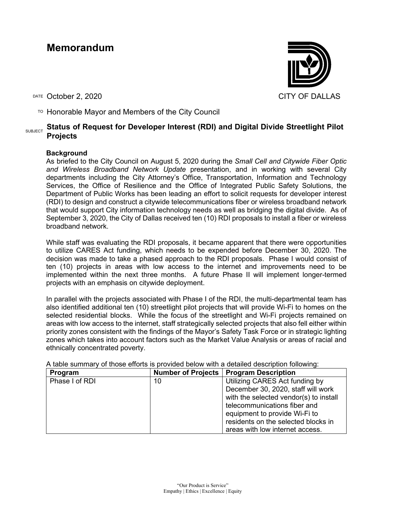# **Memorandum**

DATE October 2, 2020 CITY OF DALLAS

 $T$ <sup>O</sup> Honorable Mayor and Members of the City Council

## SUBJECT **Status of Request for Developer Interest (RDI) and Digital Divide Streetlight Pilot Projects**

### **Background**

As briefed to the City Council on August 5, 2020 during the *Small Cell and Citywide Fiber Optic and Wireless Broadband Network Update* presentation, and in working with several City departments including the City Attorney's Office, Transportation, Information and Technology Services, the Office of Resilience and the Office of Integrated Public Safety Solutions, the Department of Public Works has been leading an effort to solicit requests for developer interest (RDI) to design and construct a citywide telecommunications fiber or wireless broadband network that would support City information technology needs as well as bridging the digital divide. As of September 3, 2020, the City of Dallas received ten (10) RDI proposals to install a fiber or wireless broadband network.

While staff was evaluating the RDI proposals, it became apparent that there were opportunities to utilize CARES Act funding, which needs to be expended before December 30, 2020. The decision was made to take a phased approach to the RDI proposals. Phase I would consist of ten (10) projects in areas with low access to the internet and improvements need to be implemented within the next three months. A future Phase II will implement longer-termed projects with an emphasis on citywide deployment.

In parallel with the projects associated with Phase I of the RDI, the multi-departmental team has also identified additional ten (10) streetlight pilot projects that will provide Wi-Fi to homes on the selected residential blocks. While the focus of the streetlight and Wi-Fi projects remained on areas with low access to the internet, staff strategically selected projects that also fell either within priority zones consistent with the findings of the Mayor's Safety Task Force or in strategic lighting zones which takes into account factors such as the Market Value Analysis or areas of racial and ethnically concentrated poverty.

A table summary of those efforts is provided below with a detailed description following:

| Program        |    | Number of Projects   Program Description |
|----------------|----|------------------------------------------|
| Phase I of RDI | 10 | Utilizing CARES Act funding by           |
|                |    | December 30, 2020, staff will work       |
|                |    | with the selected vendor(s) to install   |
|                |    | telecommunications fiber and             |
|                |    | equipment to provide Wi-Fi to            |
|                |    | residents on the selected blocks in      |
|                |    | areas with low internet access.          |

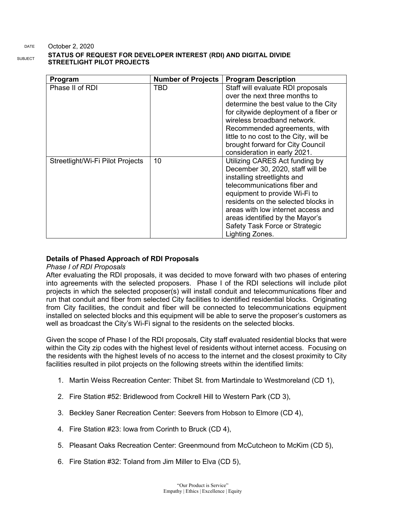#### DATE October 2, 2020

# **STATUS OF REQUEST FOR DEVELOPER INTEREST (RDI) AND DIGITAL DIVIDE STREETLIGHT PILOT PROJECTS**

| Program                          | <b>Number of Projects</b> | <b>Program Description</b>                                                                                                                                                                                                                                                                                                              |
|----------------------------------|---------------------------|-----------------------------------------------------------------------------------------------------------------------------------------------------------------------------------------------------------------------------------------------------------------------------------------------------------------------------------------|
| Phase II of RDI                  | TBD                       | Staff will evaluate RDI proposals<br>over the next three months to<br>determine the best value to the City<br>for citywide deployment of a fiber or<br>wireless broadband network.<br>Recommended agreements, with<br>little to no cost to the City, will be<br>brought forward for City Council<br>consideration in early 2021.        |
| Streetlight/Wi-Fi Pilot Projects | 10                        | Utilizing CARES Act funding by<br>December 30, 2020, staff will be<br>installing streetlights and<br>telecommunications fiber and<br>equipment to provide Wi-Fi to<br>residents on the selected blocks in<br>areas with low internet access and<br>areas identified by the Mayor's<br>Safety Task Force or Strategic<br>Lighting Zones. |

### **Details of Phased Approach of RDI Proposals**

#### *Phase I of RDI Proposals*

After evaluating the RDI proposals, it was decided to move forward with two phases of entering into agreements with the selected proposers. Phase I of the RDI selections will include pilot projects in which the selected proposer(s) will install conduit and telecommunications fiber and run that conduit and fiber from selected City facilities to identified residential blocks. Originating from City facilities, the conduit and fiber will be connected to telecommunications equipment installed on selected blocks and this equipment will be able to serve the proposer's customers as well as broadcast the City's Wi-Fi signal to the residents on the selected blocks.

Given the scope of Phase I of the RDI proposals, City staff evaluated residential blocks that were within the City zip codes with the highest level of residents without internet access. Focusing on the residents with the highest levels of no access to the internet and the closest proximity to City facilities resulted in pilot projects on the following streets within the identified limits:

- 1. Martin Weiss Recreation Center: Thibet St. from Martindale to Westmoreland (CD 1),
- 2. Fire Station #52: Bridlewood from Cockrell Hill to Western Park (CD 3),
- 3. Beckley Saner Recreation Center: Seevers from Hobson to Elmore (CD 4),
- 4. Fire Station #23: Iowa from Corinth to Bruck (CD 4),
- 5. Pleasant Oaks Recreation Center: Greenmound from McCutcheon to McKim (CD 5),
- 6. Fire Station #32: Toland from Jim Miller to Elva (CD 5),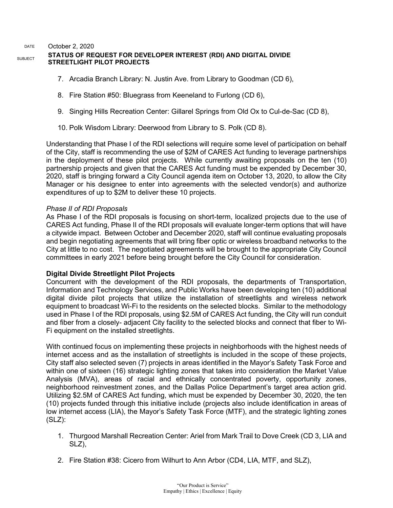#### DATE October 2, 2020 **SUBJECT STATUS OF REQUEST FOR DEVELOPER INTEREST (RDI) AND DIGITAL DIVIDE STREETLIGHT PILOT PROJECTS**

- 7. Arcadia Branch Library: N. Justin Ave. from Library to Goodman (CD 6),
- 8. Fire Station #50: Bluegrass from Keeneland to Furlong (CD 6),
- 9. Singing Hills Recreation Center: Gillarel Springs from Old Ox to Cul-de-Sac (CD 8),
- 10. Polk Wisdom Library: Deerwood from Library to S. Polk (CD 8).

Understanding that Phase I of the RDI selections will require some level of participation on behalf of the City, staff is recommending the use of \$2M of CARES Act funding to leverage partnerships in the deployment of these pilot projects. While currently awaiting proposals on the ten (10) partnership projects and given that the CARES Act funding must be expended by December 30, 2020, staff is bringing forward a City Council agenda item on October 13, 2020, to allow the City Manager or his designee to enter into agreements with the selected vendor(s) and authorize expenditures of up to \$2M to deliver these 10 projects.

### *Phase II of RDI Proposals*

As Phase I of the RDI proposals is focusing on short-term, localized projects due to the use of CARES Act funding, Phase II of the RDI proposals will evaluate longer-term options that will have a citywide impact. Between October and December 2020, staff will continue evaluating proposals and begin negotiating agreements that will bring fiber optic or wireless broadband networks to the City at little to no cost. The negotiated agreements will be brought to the appropriate City Council committees in early 2021 before being brought before the City Council for consideration.

### **Digital Divide Streetlight Pilot Projects**

Concurrent with the development of the RDI proposals, the departments of Transportation, Information and Technology Services, and Public Works have been developing ten (10) additional digital divide pilot projects that utilize the installation of streetlights and wireless network equipment to broadcast Wi-Fi to the residents on the selected blocks. Similar to the methodology used in Phase I of the RDI proposals, using \$2.5M of CARES Act funding, the City will run conduit and fiber from a closely- adjacent City facility to the selected blocks and connect that fiber to Wi-Fi equipment on the installed streetlights.

With continued focus on implementing these projects in neighborhoods with the highest needs of internet access and as the installation of streetlights is included in the scope of these projects, City staff also selected seven (7) projects in areas identified in the Mayor's Safety Task Force and within one of sixteen (16) strategic lighting zones that takes into consideration the Market Value Analysis (MVA), areas of racial and ethnically concentrated poverty, opportunity zones, neighborhood reinvestment zones, and the Dallas Police Department's target area action grid. Utilizing \$2.5M of CARES Act funding, which must be expended by December 30, 2020, the ten (10) projects funded through this initiative include (projects also include identification in areas of low internet access (LIA), the Mayor's Safety Task Force (MTF), and the strategic lighting zones (SLZ):

- 1. Thurgood Marshall Recreation Center: Ariel from Mark Trail to Dove Creek (CD 3, LIA and SLZ),
- 2. Fire Station #38: Cicero from Wilhurt to Ann Arbor (CD4, LIA, MTF, and SLZ),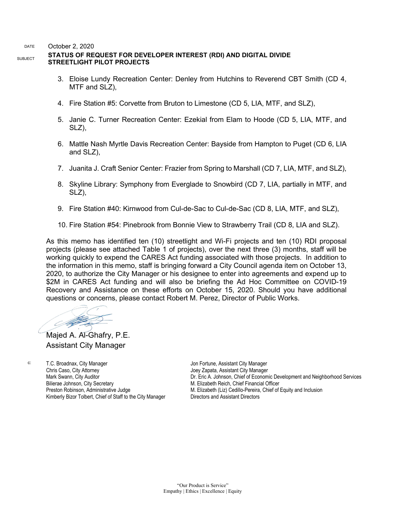DATE October 2, 2020

### **STATUS OF REQUEST FOR DEVELOPER INTEREST (RDI) AND DIGITAL DIVIDE STREETLIGHT PILOT PROJECTS**

- 3. Eloise Lundy Recreation Center: Denley from Hutchins to Reverend CBT Smith (CD 4, MTF and SLZ),
- 4. Fire Station #5: Corvette from Bruton to Limestone (CD 5, LIA, MTF, and SLZ),
- 5. Janie C. Turner Recreation Center: Ezekial from Elam to Hoode (CD 5, LIA, MTF, and SLZ),
- 6. Mattle Nash Myrtle Davis Recreation Center: Bayside from Hampton to Puget (CD 6, LIA and SLZ),
- 7. Juanita J. Craft Senior Center: Frazier from Spring to Marshall (CD 7, LIA, MTF, and SLZ),
- 8. Skyline Library: Symphony from Everglade to Snowbird (CD 7, LIA, partially in MTF, and SLZ),
- 9. Fire Station #40: Kirnwood from Cul-de-Sac to Cul-de-Sac (CD 8, LIA, MTF, and SLZ),
- 10. Fire Station #54: Pinebrook from Bonnie View to Strawberry Trail (CD 8, LIA and SLZ).

As this memo has identified ten (10) streetlight and Wi-Fi projects and ten (10) RDI proposal projects (please see attached Table 1 of projects), over the next three (3) months, staff will be working quickly to expend the CARES Act funding associated with those projects. In addition to the information in this memo, staff is bringing forward a City Council agenda item on October 13, 2020, to authorize the City Manager or his designee to enter into agreements and expend up to \$2M in CARES Act funding and will also be briefing the Ad Hoc Committee on COVID-19 Recovery and Assistance on these efforts on October 15, 2020. Should you have additional questions or concerns, please contact Robert M. Perez, Director of Public Works.

Majed A. Al-Ghafry, P.E. Assistant City Manager

c: T.C. Broadnax, City Manager Chris Caso, City Attorney Mark Swann, City Auditor Bilierae Johnson, City Secretary Preston Robinson, Administrative Judge Kimberly Bizor Tolbert, Chief of Staff to the City Manager

Jon Fortune, Assistant City Manager Joey Zapata, Assistant City Manager Dr. Eric A. Johnson, Chief of Economic Development and Neighborhood Services M. Elizabeth Reich, Chief Financial Officer M. Elizabeth (Liz) Cedillo-Pereira, Chief of Equity and Inclusion Directors and Assistant Directors